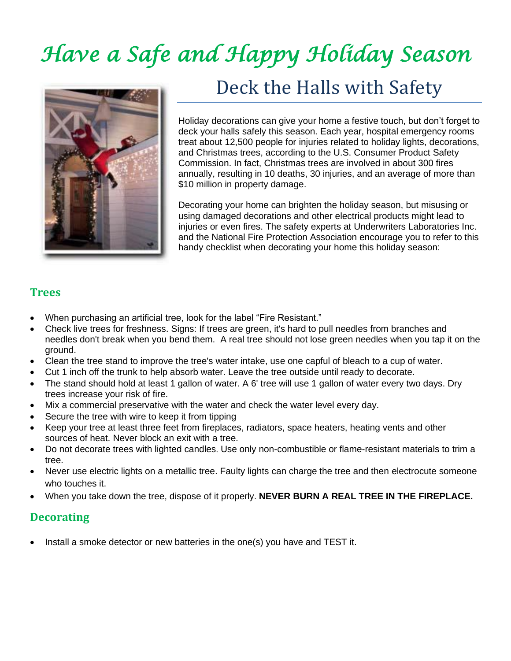# *Have a Safe and Happy Holiday Season*



# Deck the Halls with Safety

Holiday decorations can give your home a festive touch, but don't forget to deck your halls safely this season. Each year, hospital emergency rooms treat about 12,500 people for injuries related to holiday lights, decorations, and Christmas trees, according to the U.S. Consumer Product Safety Commission. In fact, Christmas trees are involved in about 300 fires annually, resulting in 10 deaths, 30 injuries, and an average of more than \$10 million in property damage.

Decorating your home can brighten the holiday season, but misusing or using damaged decorations and other electrical products might lead to injuries or even fires. The safety experts at Underwriters Laboratories Inc. and the National Fire Protection Association encourage you to refer to this handy checklist when decorating your home this holiday season:

#### **Trees**

- When purchasing an artificial tree, look for the label "Fire Resistant."
- Check live trees for freshness. Signs: If trees are green, it's hard to pull needles from branches and needles don't break when you bend them. A real tree should not lose green needles when you tap it on the ground.
- Clean the tree stand to improve the tree's water intake, use one capful of bleach to a cup of water.
- Cut 1 inch off the trunk to help absorb water. Leave the tree outside until ready to decorate.
- The stand should hold at least 1 gallon of water. A 6' tree will use 1 gallon of water every two days. Dry trees increase your risk of fire.
- Mix a commercial preservative with the water and check the water level every day.
- Secure the tree with wire to keep it from tipping
- Keep your tree at least three feet from fireplaces, radiators, space heaters, heating vents and other sources of heat. Never block an exit with a tree.
- Do not decorate trees with lighted candles. Use only non-combustible or flame-resistant materials to trim a tree.
- Never use electric lights on a metallic tree. Faulty lights can charge the tree and then electrocute someone who touches it.
- When you take down the tree, dispose of it properly. **NEVER BURN A REAL TREE IN THE FIREPLACE.**

### **Decorating**

• Install a smoke detector or new batteries in the one(s) you have and TEST it.